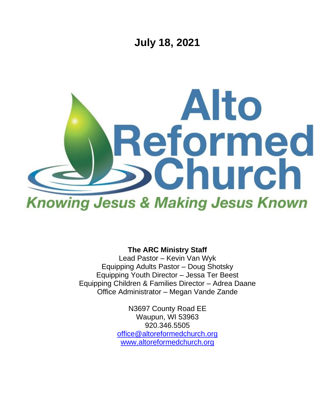

**The ARC Ministry Staff**

Lead Pastor – Kevin Van Wyk Equipping Adults Pastor – Doug Shotsky Equipping Youth Director – Jessa Ter Beest Equipping Children & Families Director – Adrea Daane Office Administrator – Megan Vande Zande

> N3697 County Road EE Waupun, WI 53963 920.346.5505 [office@altoreformedchurch.org](mailto:office@altoreformedchurch.org) [www.altoreformedchurch.org](http://www.altoreformedchurch.org/)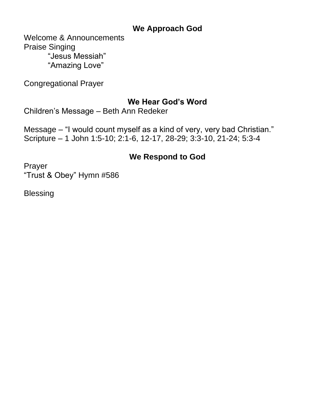## **We Approach God**

Welcome & Announcements Praise Singing "Jesus Messiah" "Amazing Love"

Congregational Prayer

## **We Hear God's Word**

Children's Message – Beth Ann Redeker

Message – "I would count myself as a kind of very, very bad Christian." Scripture – 1 John 1:5-10; 2:1-6, 12-17, 28-29; 3:3-10, 21-24; 5:3-4

## **We Respond to God**

Prayer "Trust & Obey" Hymn #586

Blessing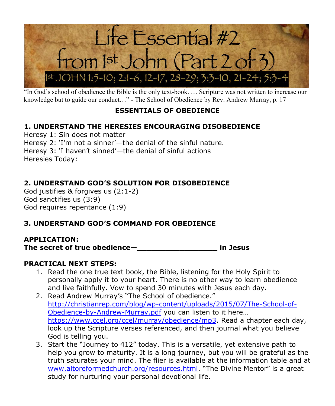

"In God's school of obedience the Bible is the only text-book. ... Scripture was not written to increase our knowledge but to guide our conduct…" - The School of Obedience by Rev. Andrew Murray, p. 17

## **ESSENTIALS OF OBEDIENCE**

## **1. UNDERSTAND THE HERESIES ENCOURAGING DISOBEDIENCE**

Heresy 1: Sin does not matter Heresy 2: 'I'm not a sinner'—the denial of the sinful nature. Heresy 3: 'I haven't sinned'—the denial of sinful actions Heresies Today:

## **2. UNDERSTAND GOD'S SOLUTION FOR DISOBEDIENCE**

God justifies & forgives us (2:1-2) God sanctifies us (3:9) God requires repentance (1:9)

### **3. UNDERSTAND GOD'S COMMAND FOR OBEDIENCE**

#### **APPLICATION:**

**The secret of true obedience—\_\_\_\_\_\_\_\_\_\_\_\_\_\_\_\_\_ in Jesus**

#### **PRACTICAL NEXT STEPS:**

- 1. Read the one true text book, the Bible, listening for the Holy Spirit to personally apply it to your heart. There is no other way to learn obedience and live faithfully. Vow to spend 30 minutes with Jesus each day.
- 2. Read Andrew Murray's "The School of obedience." [http://christianrep.com/blog/wp-content/uploads/2015/07/The-School-of-](https://na01.safelinks.protection.outlook.com/?url=http%3A%2F%2Fchristianrep.com%2Fblog%2Fwp-content%2Fuploads%2F2015%2F07%2FThe-School-of-Obedience-by-Andrew-Murray.pdf&data=04%7C01%7C%7C85995de7161b4796967308d9486d8842%7C84df9e7fe9f640afb435aaaaaaaaaaaa%7C1%7C0%7C637620457617098399%7CUnknown%7CTWFpbGZsb3d8eyJWIjoiMC4wLjAwMDAiLCJQIjoiV2luMzIiLCJBTiI6Ik1haWwiLCJXVCI6Mn0%3D%7C1000&sdata=UqffsR2jgmwpvVggysxZvlO%2FTv02Z1XK6p37E8sCUbs%3D&reserved=0)[Obedience-by-Andrew-Murray.pdf](https://na01.safelinks.protection.outlook.com/?url=http%3A%2F%2Fchristianrep.com%2Fblog%2Fwp-content%2Fuploads%2F2015%2F07%2FThe-School-of-Obedience-by-Andrew-Murray.pdf&data=04%7C01%7C%7C85995de7161b4796967308d9486d8842%7C84df9e7fe9f640afb435aaaaaaaaaaaa%7C1%7C0%7C637620457617098399%7CUnknown%7CTWFpbGZsb3d8eyJWIjoiMC4wLjAwMDAiLCJQIjoiV2luMzIiLCJBTiI6Ik1haWwiLCJXVCI6Mn0%3D%7C1000&sdata=UqffsR2jgmwpvVggysxZvlO%2FTv02Z1XK6p37E8sCUbs%3D&reserved=0) you can listen to it here… [https://www.ccel.org/ccel/murray/obedience/mp3.](https://na01.safelinks.protection.outlook.com/?url=https%3A%2F%2Fwww.ccel.org%2Fccel%2Fmurray%2Fobedience%2Fmp3&data=04%7C01%7C%7C85995de7161b4796967308d9486d8842%7C84df9e7fe9f640afb435aaaaaaaaaaaa%7C1%7C0%7C637620457617108393%7CUnknown%7CTWFpbGZsb3d8eyJWIjoiMC4wLjAwMDAiLCJQIjoiV2luMzIiLCJBTiI6Ik1haWwiLCJXVCI6Mn0%3D%7C1000&sdata=M3qvOswC%2BcvRGEpoXUuepYAszBmUInOA50HRcYHrGgc%3D&reserved=0) Read a chapter each day, look up the Scripture verses referenced, and then journal what you believe God is telling you.
- 3. Start the "Journey to 412" today. This is a versatile, yet extensive path to help you grow to maturity. It is a long journey, but you will be grateful as the truth saturates your mind. The flier is available at the information table and at [www.altoreformedchurch.org/resources.html](https://na01.safelinks.protection.outlook.com/?url=http%3A%2F%2Fwww.altoreformedchurch.org%2Fresources.html&data=04%7C01%7C%7C85995de7161b4796967308d9486d8842%7C84df9e7fe9f640afb435aaaaaaaaaaaa%7C1%7C0%7C637620457617108393%7CUnknown%7CTWFpbGZsb3d8eyJWIjoiMC4wLjAwMDAiLCJQIjoiV2luMzIiLCJBTiI6Ik1haWwiLCJXVCI6Mn0%3D%7C1000&sdata=cHZmye%2BMVeq0Euxuophfqw47hk%2F%2F%2FKJfbJ3SAV81XO0%3D&reserved=0). "The Divine Mentor" is a great study for nurturing your personal devotional life.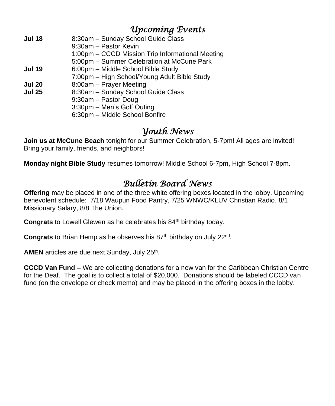# *Upcoming Events*

| 8:30am - Sunday School Guide Class               |
|--------------------------------------------------|
| 9:30am - Pastor Kevin                            |
| 1:00pm - CCCD Mission Trip Informational Meeting |
| 5:00pm - Summer Celebration at McCune Park       |
| 6:00pm - Middle School Bible Study               |
| 7:00pm - High School/Young Adult Bible Study     |
| 8:00am - Prayer Meeting                          |
| 8:30am - Sunday School Guide Class               |
| 9:30am - Pastor Doug                             |
| 3:30pm - Men's Golf Outing                       |
| 6:30pm - Middle School Bonfire                   |
|                                                  |

# *Youth News*

**Join us at McCune Beach** tonight for our Summer Celebration, 5-7pm! All ages are invited! Bring your family, friends, and neighbors!

**Monday night Bible Study** resumes tomorrow! Middle School 6-7pm, High School 7-8pm.

# *Bulletin Board News*

**Offering** may be placed in one of the three white offering boxes located in the lobby. Upcoming benevolent schedule: 7/18 Waupun Food Pantry, 7/25 WNWC/KLUV Christian Radio, 8/1 Missionary Salary, 8/8 The Union.

**Congrats** to Lowell Glewen as he celebrates his 84<sup>th</sup> birthday today.

Congrats to Brian Hemp as he observes his 87<sup>th</sup> birthday on July 22<sup>nd</sup>.

AMEN articles are due next Sunday, July 25<sup>th</sup>.

**CCCD Van Fund –** We are collecting donations for a new van for the Caribbean Christian Centre for the Deaf. The goal is to collect a total of \$20,000. Donations should be labeled CCCD van fund (on the envelope or check memo) and may be placed in the offering boxes in the lobby.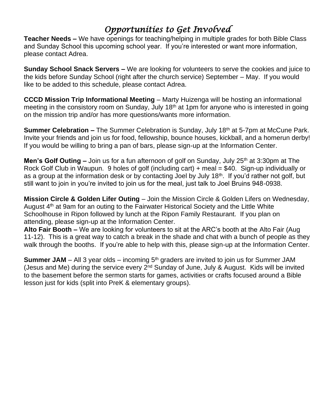# *Opportunities to Get Involved*

**Teacher Needs –** We have openings for teaching/helping in multiple grades for both Bible Class and Sunday School this upcoming school year. If you're interested or want more information, please contact Adrea.

**Sunday School Snack Servers –** We are looking for volunteers to serve the cookies and juice to the kids before Sunday School (right after the church service) September – May. If you would like to be added to this schedule, please contact Adrea.

**CCCD Mission Trip Informational Meeting** – Marty Huizenga will be hosting an informational meeting in the consistory room on Sunday, July 18<sup>th</sup> at 1pm for anyone who is interested in going on the mission trip and/or has more questions/wants more information.

**Summer Celebration –** The Summer Celebration is Sunday, July 18<sup>th</sup> at 5-7pm at McCune Park. Invite your friends and join us for food, fellowship, bounce houses, kickball, and a homerun derby! If you would be willing to bring a pan of bars, please sign-up at the Information Center.

**Men's Golf Outing –** Join us for a fun afternoon of golf on Sunday, July 25<sup>th</sup> at 3:30pm at The Rock Golf Club in Waupun. 9 holes of golf (including cart) + meal = \$40. Sign-up individually or as a group at the information desk or by contacting Joel by July 18<sup>th</sup>. If you'd rather not golf, but still want to join in you're invited to join us for the meal, just talk to Joel Bruins 948-0938.

**Mission Circle & Golden Lifer Outing** – Join the Mission Circle & Golden Lifers on Wednesday, August  $4<sup>th</sup>$  at 9am for an outing to the Fairwater Historical Society and the Little White Schoolhouse in Ripon followed by lunch at the Ripon Family Restaurant. If you plan on attending, please sign-up at the Information Center.

**Alto Fair Booth –** We are looking for volunteers to sit at the ARC's booth at the Alto Fair (Aug 11-12). This is a great way to catch a break in the shade and chat with a bunch of people as they walk through the booths. If you're able to help with this, please sign-up at the Information Center.

**Summer JAM** – All 3 year olds – incoming 5<sup>th</sup> graders are invited to join us for Summer JAM (Jesus and Me) during the service every 2<sup>nd</sup> Sunday of June, July & August. Kids will be invited to the basement before the sermon starts for games, activities or crafts focused around a Bible lesson just for kids (split into PreK & elementary groups).